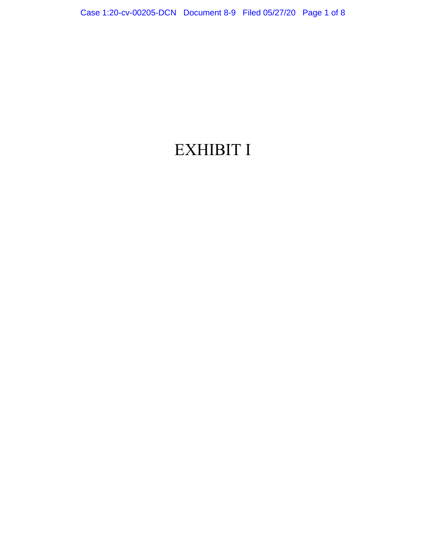## EXHIBIT I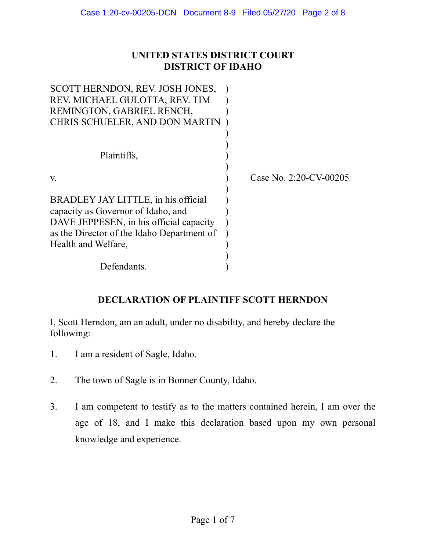## **UNITED STATES DISTRICT COURT DISTRICT OF IDAHO**

| SCOTT HERNDON, REV. JOSH JONES,            |                           |
|--------------------------------------------|---------------------------|
| REV. MICHAEL GULOTTA, REV. TIM             |                           |
| REMINGTON, GABRIEL RENCH,                  |                           |
| CHRIS SCHUELER, AND DON MARTIN             |                           |
|                                            |                           |
|                                            |                           |
| Plaintiffs,                                |                           |
|                                            |                           |
| V.                                         | Case No. $2:20$ -CV-00205 |
|                                            |                           |
| BRADLEY JAY LITTLE, in his official        |                           |
| capacity as Governor of Idaho, and         |                           |
| DAVE JEPPESEN, in his official capacity    |                           |
| as the Director of the Idaho Department of |                           |
| Health and Welfare,                        |                           |
|                                            |                           |
| Defendants.                                |                           |

## **DECLARATION OF PLAINTIFF SCOTT HERNDON**

I, Scott Herndon, am an adult, under no disability, and hereby declare the following:

- 1. I am a resident of Sagle, Idaho.
- 2. The town of Sagle is in Bonner County, Idaho.
- 3. I am competent to testify as to the matters contained herein, I am over the age of 18, and I make this declaration based upon my own personal knowledge and experience.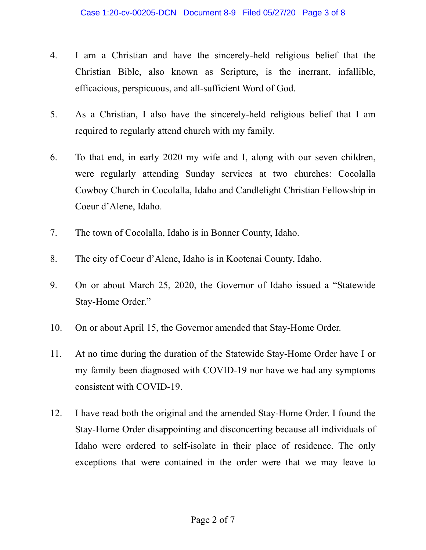- 4. I am a Christian and have the sincerely-held religious belief that the Christian Bible, also known as Scripture, is the inerrant, infallible, efficacious, perspicuous, and all-sufficient Word of God.
- 5. As a Christian, I also have the sincerely-held religious belief that I am required to regularly attend church with my family.
- 6. To that end, in early 2020 my wife and I, along with our seven children, were regularly attending Sunday services at two churches: Cocolalla Cowboy Church in Cocolalla, Idaho and Candlelight Christian Fellowship in Coeur d'Alene, Idaho.
- 7. The town of Cocolalla, Idaho is in Bonner County, Idaho.
- 8. The city of Coeur d'Alene, Idaho is in Kootenai County, Idaho.
- 9. On or about March 25, 2020, the Governor of Idaho issued a "Statewide Stay-Home Order."
- 10. On or about April 15, the Governor amended that Stay-Home Order.
- 11. At no time during the duration of the Statewide Stay-Home Order have I or my family been diagnosed with COVID-19 nor have we had any symptoms consistent with COVID-19.
- 12. I have read both the original and the amended Stay-Home Order. I found the Stay-Home Order disappointing and disconcerting because all individuals of Idaho were ordered to self-isolate in their place of residence. The only exceptions that were contained in the order were that we may leave to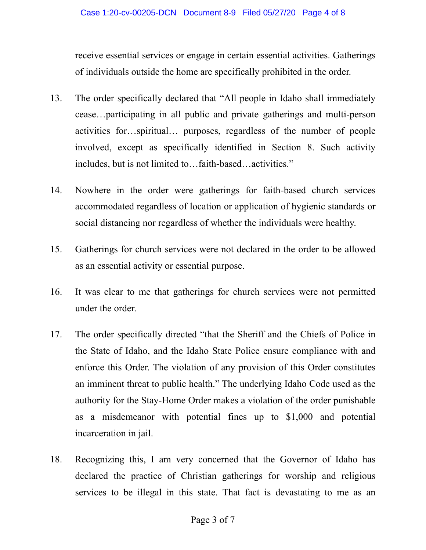receive essential services or engage in certain essential activities. Gatherings of individuals outside the home are specifically prohibited in the order.

- 13. The order specifically declared that "All people in Idaho shall immediately cease…participating in all public and private gatherings and multi-person activities for…spiritual… purposes, regardless of the number of people involved, except as specifically identified in Section 8. Such activity includes, but is not limited to…faith-based…activities."
- 14. Nowhere in the order were gatherings for faith-based church services accommodated regardless of location or application of hygienic standards or social distancing nor regardless of whether the individuals were healthy.
- 15. Gatherings for church services were not declared in the order to be allowed as an essential activity or essential purpose.
- 16. It was clear to me that gatherings for church services were not permitted under the order.
- 17. The order specifically directed "that the Sheriff and the Chiefs of Police in the State of Idaho, and the Idaho State Police ensure compliance with and enforce this Order. The violation of any provision of this Order constitutes an imminent threat to public health." The underlying Idaho Code used as the authority for the Stay-Home Order makes a violation of the order punishable as a misdemeanor with potential fines up to \$1,000 and potential incarceration in jail.
- 18. Recognizing this, I am very concerned that the Governor of Idaho has declared the practice of Christian gatherings for worship and religious services to be illegal in this state. That fact is devastating to me as an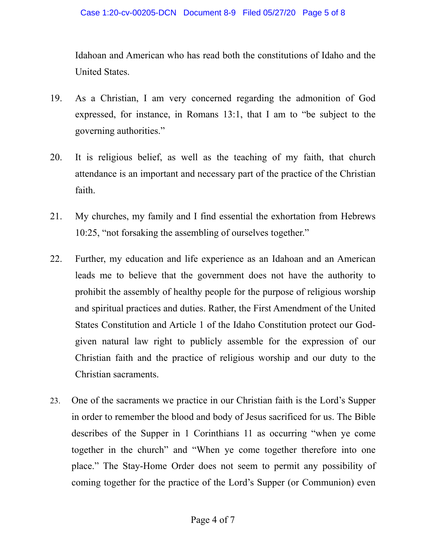Idahoan and American who has read both the constitutions of Idaho and the United States.

- 19. As a Christian, I am very concerned regarding the admonition of God expressed, for instance, in Romans 13:1, that I am to "be subject to the governing authorities."
- 20. It is religious belief, as well as the teaching of my faith, that church attendance is an important and necessary part of the practice of the Christian faith.
- 21. My churches, my family and I find essential the exhortation from Hebrews 10:25, "not forsaking the assembling of ourselves together."
- 22. Further, my education and life experience as an Idahoan and an American leads me to believe that the government does not have the authority to prohibit the assembly of healthy people for the purpose of religious worship and spiritual practices and duties. Rather, the First Amendment of the United States Constitution and Article 1 of the Idaho Constitution protect our Godgiven natural law right to publicly assemble for the expression of our Christian faith and the practice of religious worship and our duty to the Christian sacraments.
- 23. One of the sacraments we practice in our Christian faith is the Lord's Supper in order to remember the blood and body of Jesus sacrificed for us. The Bible describes of the Supper in 1 Corinthians 11 as occurring "when ye come together in the church" and "When ye come together therefore into one place." The Stay-Home Order does not seem to permit any possibility of coming together for the practice of the Lord's Supper (or Communion) even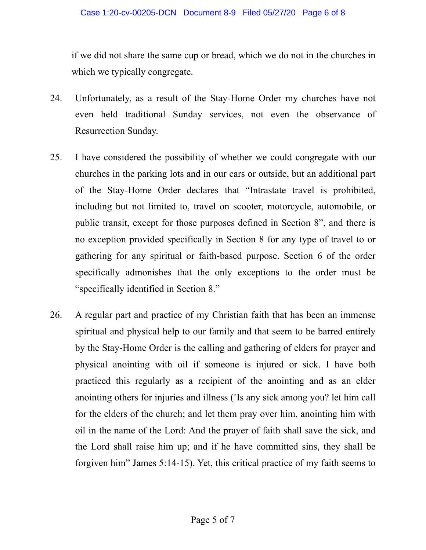if we did not share the same cup or bread, which we do not in the churches in which we typically congregate.

- 24. Unfortunately, as a result of the Stay-Home Order my churches have not even held traditional Sunday services, not even the observance of Resurrection Sunday.
- 25. I have considered the possibility of whether we could congregate with our churches in the parking lots and in our cars or outside, but an additional part of the Stay-Home Order declares that "Intrastate travel is prohibited, including but not limited to, travel on scooter, motorcycle, automobile, or public transit, except for those purposes defined in Section 8", and there is no exception provided specifically in Section 8 for any type of travel to or gathering for any spiritual or faith-based purpose. Section 6 of the order specifically admonishes that the only exceptions to the order must be "specifically identified in Section 8."
- 26. A regular part and practice of my Christian faith that has been an immense spiritual and physical help to our family and that seem to be barred entirely by the Stay-Home Order is the calling and gathering of elders for prayer and physical anointing with oil if someone is injured or sick. I have both practiced this regularly as a recipient of the anointing and as an elder anointing others for injuries and illness ("Is any sick among you? let him call for the elders of the church; and let them pray over him, anointing him with oil in the name of the Lord: And the prayer of faith shall save the sick, and the Lord shall raise him up; and if he have committed sins, they shall be forgiven him" James 5:14-15). Yet, this critical practice of my faith seems to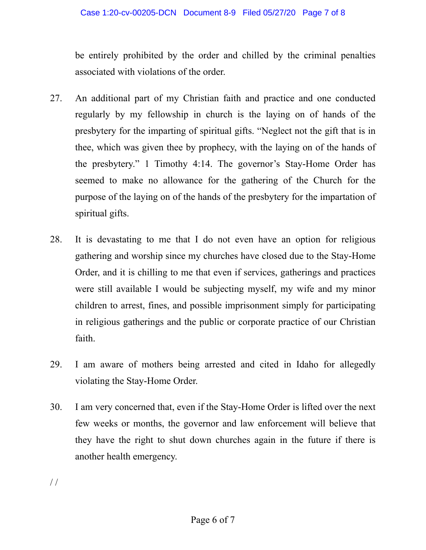be entirely prohibited by the order and chilled by the criminal penalties associated with violations of the order.

- 27. An additional part of my Christian faith and practice and one conducted regularly by my fellowship in church is the laying on of hands of the presbytery for the imparting of spiritual gifts. "Neglect not the gift that is in thee, which was given thee by prophecy, with the laying on of the hands of the presbytery." 1 Timothy 4:14. The governor's Stay-Home Order has seemed to make no allowance for the gathering of the Church for the purpose of the laying on of the hands of the presbytery for the impartation of spiritual gifts.
- 28. It is devastating to me that I do not even have an option for religious gathering and worship since my churches have closed due to the Stay-Home Order, and it is chilling to me that even if services, gatherings and practices were still available I would be subjecting myself, my wife and my minor children to arrest, fines, and possible imprisonment simply for participating in religious gatherings and the public or corporate practice of our Christian faith.
- 29. I am aware of mothers being arrested and cited in Idaho for allegedly violating the Stay-Home Order.
- 30. I am very concerned that, even if the Stay-Home Order is lifted over the next few weeks or months, the governor and law enforcement will believe that they have the right to shut down churches again in the future if there is another health emergency.